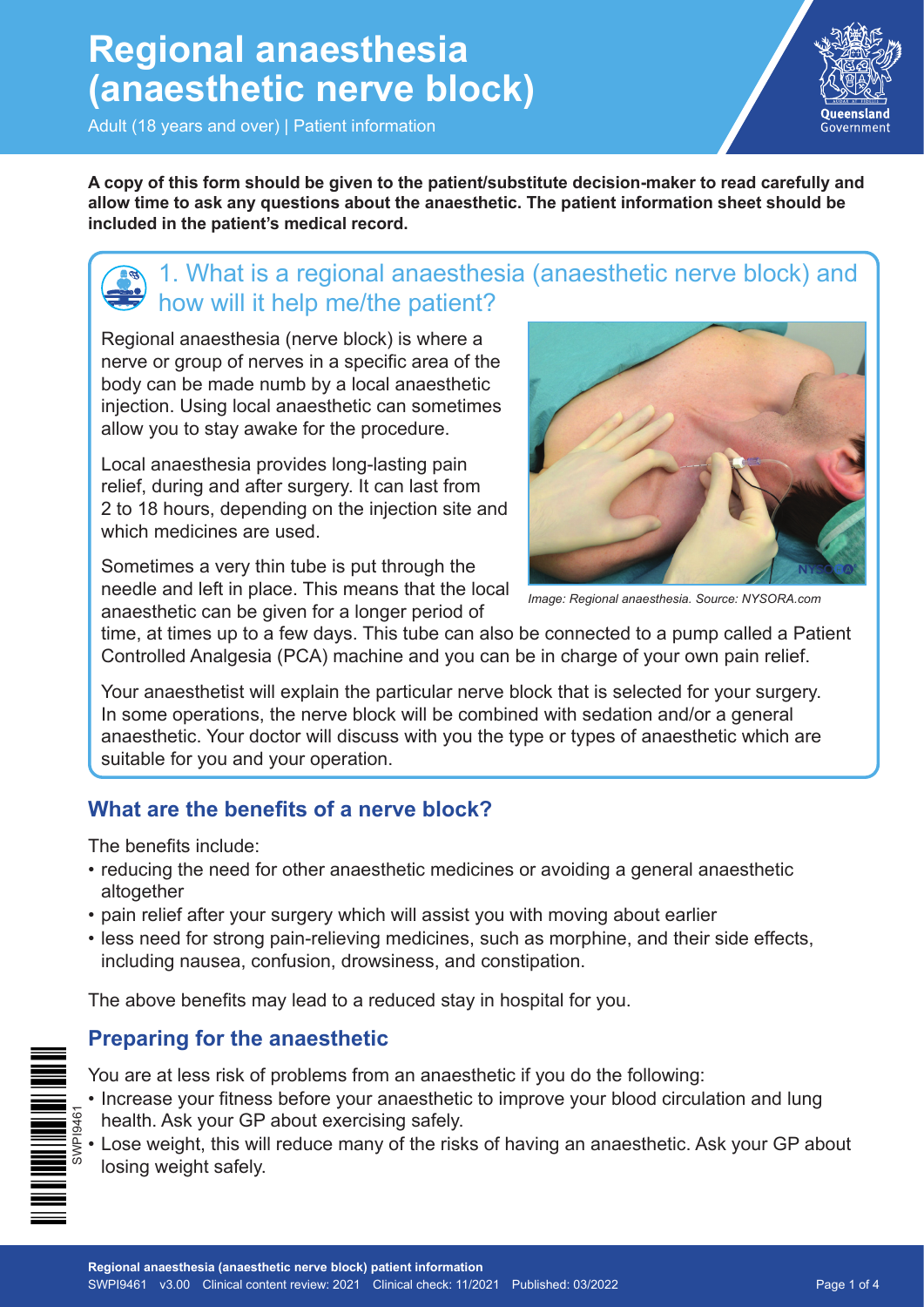## **Regional anaesthesia (anaesthetic nerve block)**

Adult (18 years and over) | Patient information



**A copy of this form should be given to the patient/substitute decision-maker to read carefully and allow time to ask any questions about the anaesthetic. The patient information sheet should be included in the patient's medical record.**

## 1. What is a regional anaesthesia (anaesthetic nerve block) and how will it help me/the patient?

Regional anaesthesia (nerve block) is where a nerve or group of nerves in a specific area of the body can be made numb by a local anaesthetic injection. Using local anaesthetic can sometimes allow you to stay awake for the procedure.

Local anaesthesia provides long-lasting pain relief, during and after surgery. It can last from 2 to 18 hours, depending on the injection site and which medicines are used.

Sometimes a very thin tube is put through the needle and left in place. This means that the local anaesthetic can be given for a longer period of



*Image: Regional anaesthesia. Source: NYSORA.com*

time, at times up to a few days. This tube can also be connected to a pump called a Patient Controlled Analgesia (PCA) machine and you can be in charge of your own pain relief.

Your anaesthetist will explain the particular nerve block that is selected for your surgery. In some operations, the nerve block will be combined with sedation and/or a general anaesthetic. Your doctor will discuss with you the type or types of anaesthetic which are suitable for you and your operation.

#### **What are the benefits of a nerve block?**

The benefits include:

- reducing the need for other anaesthetic medicines or avoiding a general anaesthetic altogether
- pain relief after your surgery which will assist you with moving about earlier
- less need for strong pain-relieving medicines, such as morphine, and their side effects, including nausea, confusion, drowsiness, and constipation.

The above benefits may lead to a reduced stay in hospital for you.

#### **Preparing for the anaesthetic**

SWPI9461

- You are at less risk of problems from an anaesthetic if you do the following:
- Increase your fitness before your anaesthetic to improve your blood circulation and lung health. Ask your GP about exercising safely.
- Lose weight, this will reduce many of the risks of having an anaesthetic. Ask your GP about losing weight safely.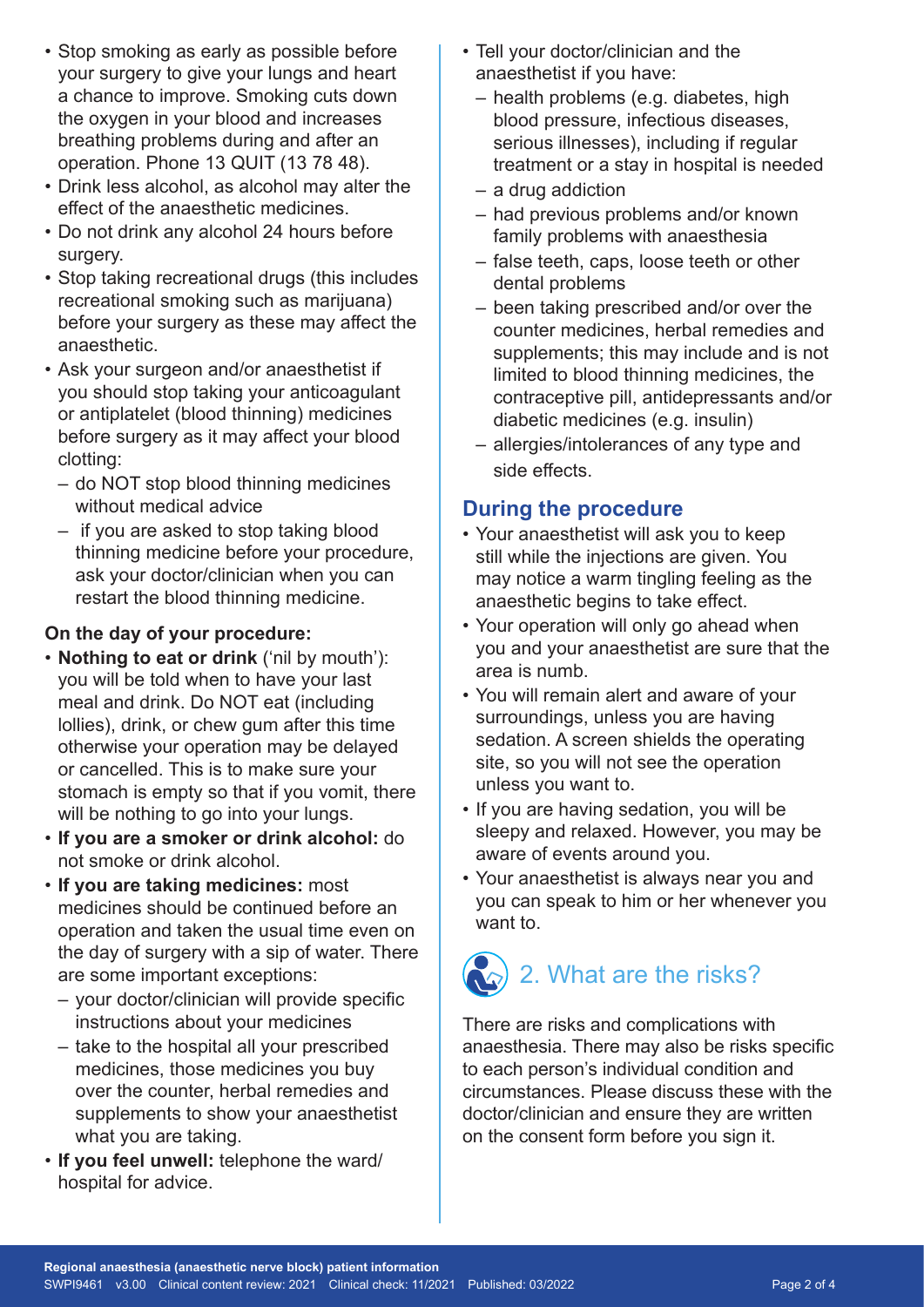- Stop smoking as early as possible before your surgery to give your lungs and heart a chance to improve. Smoking cuts down the oxygen in your blood and increases breathing problems during and after an operation. Phone 13 QUIT (13 78 48).
- Drink less alcohol, as alcohol may alter the effect of the anaesthetic medicines.
- Do not drink any alcohol 24 hours before surgery.
- Stop taking recreational drugs (this includes recreational smoking such as marijuana) before your surgery as these may affect the anaesthetic.
- Ask your surgeon and/or anaesthetist if you should stop taking your anticoagulant or antiplatelet (blood thinning) medicines before surgery as it may affect your blood clotting:
	- do NOT stop blood thinning medicines without medical advice
	- if you are asked to stop taking blood thinning medicine before your procedure, ask your doctor/clinician when you can restart the blood thinning medicine.

#### **On the day of your procedure:**

- **Nothing to eat or drink** ('nil by mouth'): you will be told when to have your last meal and drink. Do NOT eat (including lollies), drink, or chew gum after this time otherwise your operation may be delayed or cancelled. This is to make sure your stomach is empty so that if you vomit, there will be nothing to go into your lungs.
- **If you are a smoker or drink alcohol:** do not smoke or drink alcohol.
- **If you are taking medicines:** most medicines should be continued before an operation and taken the usual time even on the day of surgery with a sip of water. There are some important exceptions:
	- your doctor/clinician will provide specific instructions about your medicines
	- take to the hospital all your prescribed medicines, those medicines you buy over the counter, herbal remedies and supplements to show your anaesthetist what you are taking.
- **If you feel unwell:** telephone the ward/ hospital for advice.
- Tell your doctor/clinician and the anaesthetist if you have:
	- health problems (e.g. diabetes, high blood pressure, infectious diseases, serious illnesses), including if regular treatment or a stay in hospital is needed
	- a drug addiction
	- had previous problems and/or known family problems with anaesthesia
	- false teeth, caps, loose teeth or other dental problems
	- been taking prescribed and/or over the counter medicines, herbal remedies and supplements; this may include and is not limited to blood thinning medicines, the contraceptive pill, antidepressants and/or diabetic medicines (e.g. insulin)
	- allergies/intolerances of any type and side effects.

#### **During the procedure**

- Your anaesthetist will ask you to keep still while the injections are given. You may notice a warm tingling feeling as the anaesthetic begins to take effect.
- Your operation will only go ahead when you and your anaesthetist are sure that the area is numb.
- You will remain alert and aware of your surroundings, unless you are having sedation. A screen shields the operating site, so you will not see the operation unless you want to.
- If you are having sedation, you will be sleepy and relaxed. However, you may be aware of events around you.
- Your anaesthetist is always near you and you can speak to him or her whenever you want to.

# 2. What are the risks?

There are risks and complications with anaesthesia. There may also be risks specific to each person's individual condition and circumstances. Please discuss these with the doctor/clinician and ensure they are written on the consent form before you sign it.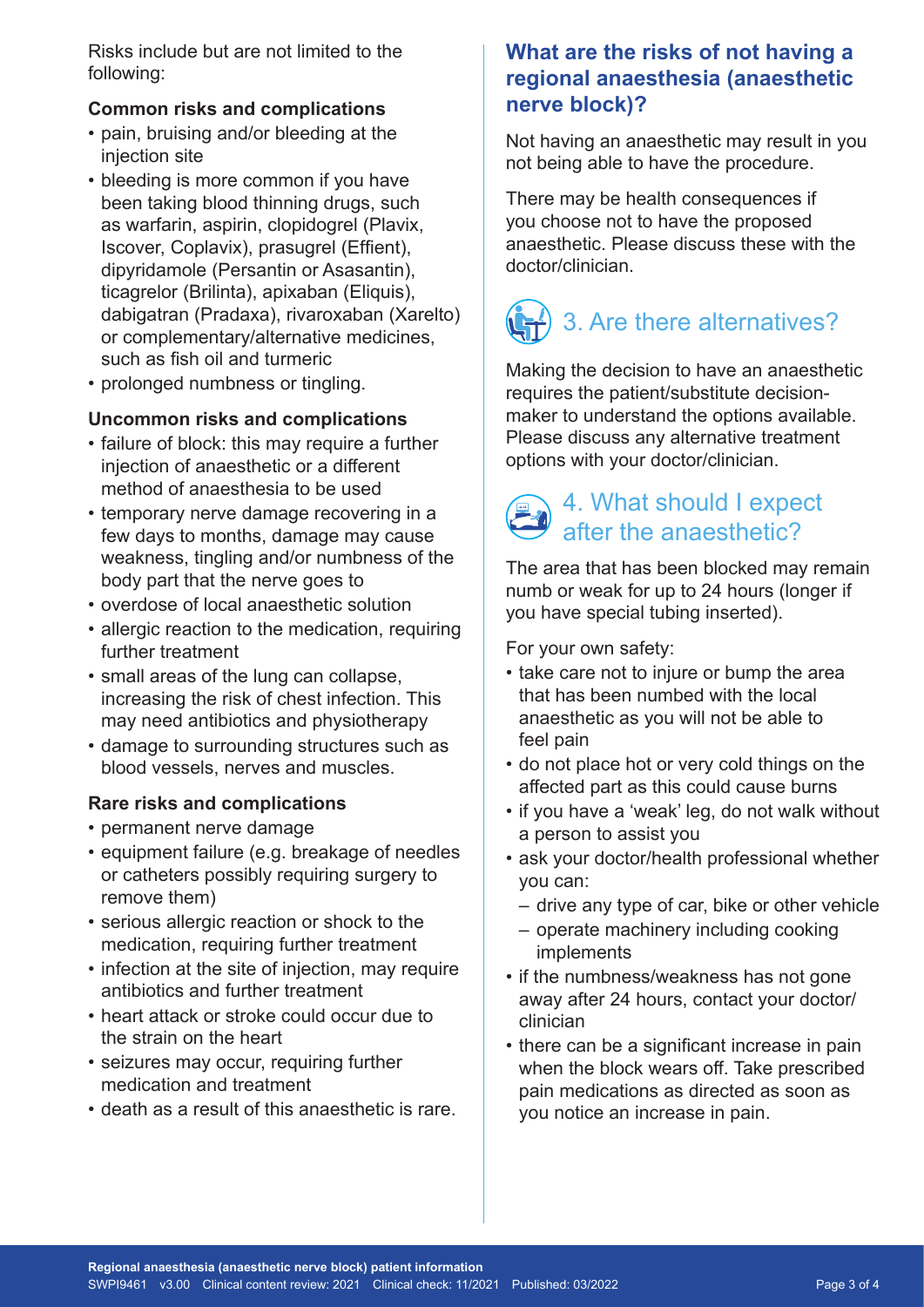Risks include but are not limited to the following:

#### **Common risks and complications**

- pain, bruising and/or bleeding at the injection site
- bleeding is more common if you have been taking blood thinning drugs, such as warfarin, aspirin, clopidogrel (Plavix, Iscover, Coplavix), prasugrel (Effient), dipyridamole (Persantin or Asasantin), ticagrelor (Brilinta), apixaban (Eliquis), dabigatran (Pradaxa), rivaroxaban (Xarelto) or complementary/alternative medicines, such as fish oil and turmeric
- prolonged numbness or tingling.

#### **Uncommon risks and complications**

- failure of block: this may require a further injection of anaesthetic or a different method of anaesthesia to be used
- temporary nerve damage recovering in a few days to months, damage may cause weakness, tingling and/or numbness of the body part that the nerve goes to
- overdose of local anaesthetic solution
- allergic reaction to the medication, requiring further treatment
- small areas of the lung can collapse, increasing the risk of chest infection. This may need antibiotics and physiotherapy
- damage to surrounding structures such as blood vessels, nerves and muscles.

#### **Rare risks and complications**

- permanent nerve damage
- equipment failure (e.g. breakage of needles or catheters possibly requiring surgery to remove them)
- serious allergic reaction or shock to the medication, requiring further treatment
- infection at the site of injection, may require antibiotics and further treatment
- heart attack or stroke could occur due to the strain on the heart
- seizures may occur, requiring further medication and treatment
- death as a result of this anaesthetic is rare.

#### **What are the risks of not having a regional anaesthesia (anaesthetic nerve block)?**

Not having an anaesthetic may result in you not being able to have the procedure.

There may be health consequences if you choose not to have the proposed anaesthetic. Please discuss these with the doctor/clinician.

## 3. Are there alternatives?

Making the decision to have an anaesthetic requires the patient/substitute decisionmaker to understand the options available. Please discuss any alternative treatment options with your doctor/clinician.

## 4. What should I expect after the anaesthetic?

The area that has been blocked may remain numb or weak for up to 24 hours (longer if you have special tubing inserted).

For your own safety:

- take care not to injure or bump the area that has been numbed with the local anaesthetic as you will not be able to feel pain
- do not place hot or very cold things on the affected part as this could cause burns
- if you have a 'weak' leg, do not walk without a person to assist you
- ask your doctor/health professional whether you can:
	- drive any type of car, bike or other vehicle
	- operate machinery including cooking implements
- if the numbness/weakness has not gone away after 24 hours, contact your doctor/ clinician
- there can be a significant increase in pain when the block wears off. Take prescribed pain medications as directed as soon as you notice an increase in pain.